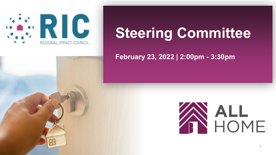

### **Steering Committee**

#### **February 23, 2022 | 2:00pm - 3:30pm**

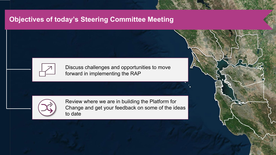#### **Objectives of today's Steering Committee Meeting**



Discuss challenges and opportunities to move forward in implementing the RAP



Review where we are in building the Platform for Change and get your feedback on some of the ideas to date

1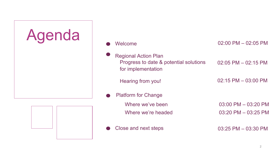

| Welcome                                                                                     | $02:00$ PM $-02:05$ PM  |
|---------------------------------------------------------------------------------------------|-------------------------|
| <b>Regional Action Plan</b><br>Progress to date & potential solutions<br>for implementation | $02:05$ PM $-02:15$ PM  |
| Hearing from you!                                                                           | $02:15$ PM $-03:00$ PM  |
| <b>Platform for Change</b>                                                                  |                         |
| Where we've been                                                                            | $03:00$ PM $- 03:20$ PM |
| Where we're headed                                                                          | $03:20$ PM $-03:25$ PM  |
| Close and next steps                                                                        | $03:25$ PM $-03:30$ PM  |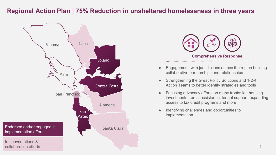#### **Regional Action Plan | 75% Reduction in unsheltered homelessness in three years**





- Engagement with jurisdictions across the region building collaborative partnerships and relationships
- Strengthening the Great Policy Solutions and 1-2-4 Action Teams to better identify strategies and tools
- Focusing advocacy efforts on many fronts: ie: housing investments, rental assistance, tenant support, expanding access to tax credit programs and more
- Identifying challenges and opportunities to implementation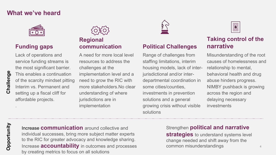#### **What we've heard**



#### **Funding gaps**

Lack of operations and service funding streams is the most significant barrier. This enables a continuation of the scarcity mindset pitting Interim vs. Permanent and setting up a fiscal cliff for affordable projects. .

# **Regional**

A need for more local level resources to address the challenges at the implementation level and a need to grow the RIC with more stakeholders.No clear understanding of where jurisdictions are in implementation



#### **communication Political Challenges**

Range of challenges from staffing limitations, interim housing models, lack of interjurisdictional and/or interdepartmental coordination in some cities/counties, investments in prevention solutions and a general growing crisis without visible solutions

|--|

#### **Taking control of the narrative**

Misunderstanding of the root causes of homelessness and relationship to mental, behavioral health and drug abuse hinders progress. NIMBY pushback is growing across the region and delaying necessary investments

### Opportunity **Opportunity**

Increase **communication** around collective and individual successes, bring more subject matter experts to the RIC for greater advocacy and knowledge sharing. Increase **accountability** in outcomes and processes by creating metrics to focus on all solutions

#### Strengthen **political and narrative**

**strategies** to understand systems level change needed and shift away from the common misunderstandings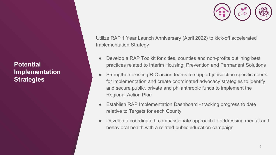**Potential Implementation Strategies** 



Utilize RAP 1 Year Launch Anniversary (April 2022) to kick-off accelerated Implementation Strategy

- Develop a RAP Toolkit for cities, counties and non-profits outlining best practices related to Interim Housing, Prevention and Permanent Solutions
- Strengthen existing RIC action teams to support jurisdiction specific needs for implementation and create coordinated advocacy strategies to identify and secure public, private and philanthropic funds to implement the Regional Action Plan
- Establish RAP Implementation Dashboard tracking progress to date relative to Targets for each County
- Develop a coordinated, compassionate approach to addressing mental and behavioral health with a related public education campaign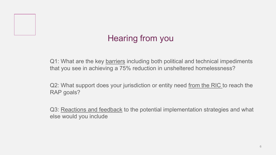### Hearing from you

Q1: What are the key barriers including both political and technical impediments that you see in achieving a 75% reduction in unsheltered homelessness?

Q2: What support does your jurisdiction or entity need from the RIC to reach the RAP goals?

Q3: Reactions and feedback to the potential implementation strategies and what else would you include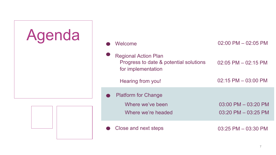

| Welcome                                                                                     | $02:00$ PM $-02:05$ PM                            |
|---------------------------------------------------------------------------------------------|---------------------------------------------------|
| <b>Regional Action Plan</b><br>Progress to date & potential solutions<br>for implementation | $02:05$ PM $- 02:15$ PM                           |
| Hearing from you!                                                                           | $02:15$ PM $- 03:00$ PM                           |
| <b>Platform for Change</b><br>Where we've been<br>Where we're headed                        | $03:00$ PM $- 03:20$ PM<br>$03:20$ PM $-03:25$ PM |
| Close and next steps                                                                        | $03:25$ PM $-03:30$ PM                            |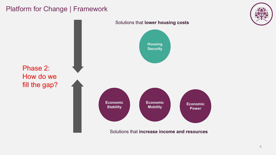#### Platform for Change | Framework



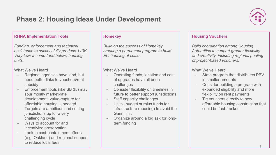#### **Phase 2: Housing Ideas Under Development**



#### **RHNA Implementation Tools**

*Funding, enforcement and technical assistance to successfully produce 110K Very Low Income (and below) housing units.*

#### What We've Heard

- Regional agencies have land, but need better links to vouchers/rent subsidy
- Enforcement tools (like SB 35) may spur mostly market-rate development; value-capture for affordable housing is needed
- Targets are ambitious and setting jurisdictions up for a very challenging cycle
- Ways to account for and incentivize preservation
- Look to cost-containment efforts (e.g. Oakland) and regional support to reduce local fees

#### **Homekey**

*Build on the success of Homekey, creating a permanent program to build ELI housing at scale.* 

#### What We've Heard

- Operating funds, location and cost of upgrades have all been challenges
- Consider flexibility on timelines in future to better support jurisdictions
- Staff capacity challenges
- Utilize budget surplus funds for infrastructure (housing) to avoid the Gann limit
- Organize around a big ask for longterm funding

#### **Housing Vouchers**

*Build coordination among Housing Authorities to support greater flexibility and creativity, including regional pooling of project-based vouchers.* 

#### What We've Heard

- State program that distributes PBV in smaller amounts
- Consider building a program with expanded eligibility and more flexibility on rent payments
- Tie vouchers directly to new affordable housing construction that could be fast-tracked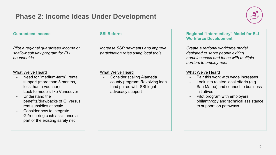#### **Phase 2: Income Ideas Under Development**



#### **Guaranteed Income**

*Pilot a regional guaranteed income or shallow subsidy program for ELI households.*

#### What We've Heard

- Need for "medium-term" rental support (more than 3 months, less than a voucher)
- Look to models like Vancouver
- Understand the benefits/drawbacks of GI versus rent subsidies at scale
- Consider how to integrate GI/recurring cash assistance a part of the existing safety net

#### **SSI Reform**

*Increase SSP payments and improve participation rates using local tools.*

#### What We've Heard

- Consider scaling Alameda county program: Revolving loan fund paired with SSI legal advocacy support

#### **Regional "Intermediary" Model for ELI Workforce Development**

*Create a regional workforce model designed to serve people exiting homelessness and those with multiple barriers to employment.*

#### What We've Heard

- Pair this work with wage increases
- Look into related local efforts (e.g San Mateo) and connect to business initiatives
- Pilot program with employers, philanthropy and technical assistance to support job pathways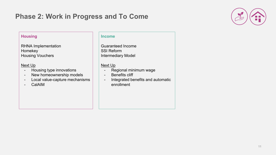#### **Phase 2: Work in Progress and To Come**



#### **Housing**

RHNA Implementation Homekey Housing Vouchers

#### Next Up

- Housing type innovations
- New homeownership models
- Local value-capture mechanisms
- CalAIM

#### **Income**

Guaranteed Income SSI Reform Intermediary Model

#### Next Up

- Regional minimum wage
- Benefits cliff
- Integrated benefits and automatic enrollment